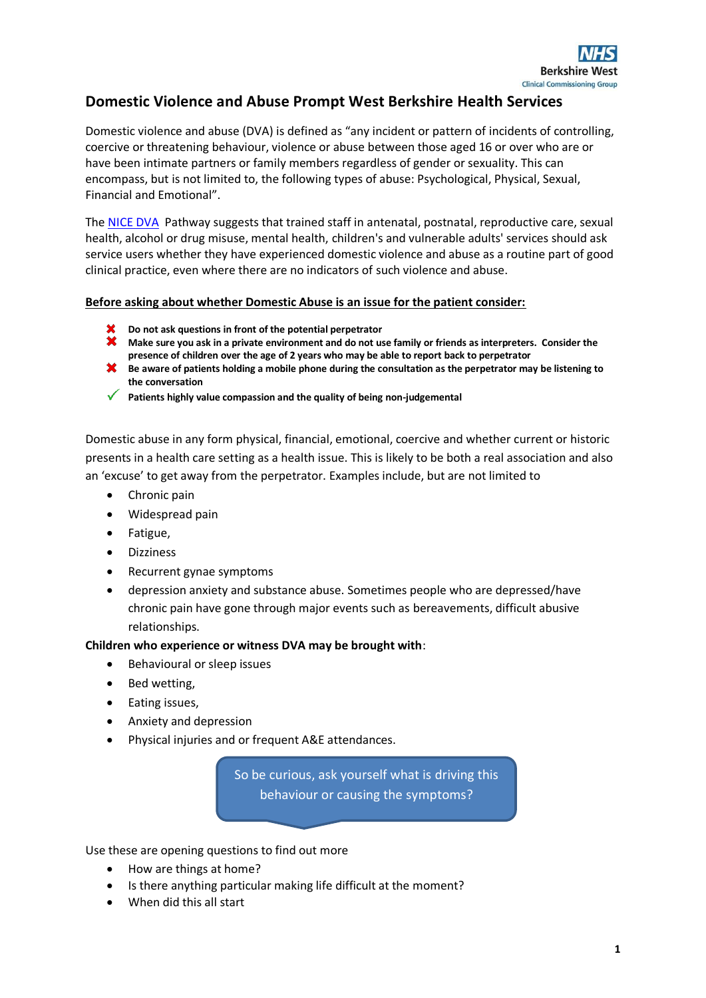

## **Domestic Violence and Abuse Prompt West Berkshire Health Services**

Domestic violence and abuse (DVA) is defined as "any incident or pattern of incidents of controlling, coercive or threatening behaviour, violence or abuse between those aged 16 or over who are or have been intimate partners or family members regardless of gender or sexuality. This can encompass, but is not limited to, the following types of abuse: Psychological, Physical, Sexual, Financial and Emotional".

The [NICE DVA](http://pathways.nice.org.uk/pathways/domestic-violence-and-abuse) Pathway suggests that trained staff in antenatal, postnatal, reproductive care, sexual health, alcohol or drug misuse, mental health, children's and vulnerable adults' services should ask service users whether they have experienced domestic violence and abuse as a routine part of good clinical practice, even where there are no indicators of such violence and abuse.

### **Before asking about whether Domestic Abuse is an issue for the patient consider:**

- **Do not ask questions in front of the potential perpetrator**
- **X** Make sure you ask in a private environment and do not use family or friends as interpreters. Consider the **presence of children over the age of 2 years who may be able to report back to perpetrator**
- **X** Be aware of patients holding a mobile phone during the consultation as the perpetrator may be listening to **the conversation**
- **Patients highly value compassion and the quality of being non-judgemental**

Domestic abuse in any form physical, financial, emotional, coercive and whether current or historic presents in a health care setting as a health issue. This is likely to be both a real association and also an 'excuse' to get away from the perpetrator. Examples include, but are not limited to

- Chronic pain
- Widespread pain
- Fatigue,
- Dizziness
- Recurrent gynae symptoms
- depression anxiety and substance abuse. Sometimes people who are depressed/have chronic pain have gone through major events such as bereavements, difficult abusive relationships.

### **Children who experience or witness DVA may be brought with**:

- Behavioural or sleep issues
- Bed wetting,
- Eating issues,
- Anxiety and depression
- Physical injuries and or frequent A&E attendances.

So be curious, ask yourself what is driving this behaviour or causing the symptoms?

Use these are opening questions to find out more

- How are things at home?
- Is there anything particular making life difficult at the moment?
- When did this all start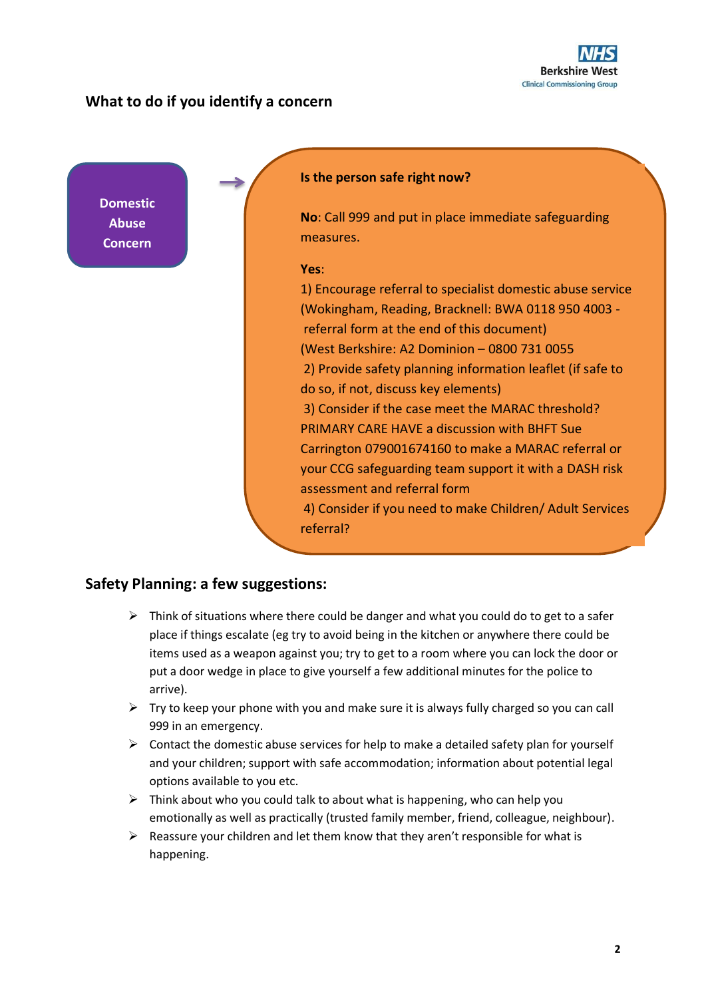

### **What to do if you identify a concern**

**Domestic Abuse Concern** 

**identified**

### **Is the person safe right now?**

**No**: Call 999 and put in place immediate safeguarding measures.

### **Yes**:

referral?

1) Encourage referral to specialist domestic abuse service (Wokingham, Reading, Bracknell: BWA 0118 950 4003 referral form at the end of this document) (West Berkshire: A2 Dominion – 0800 731 0055 2) Provide safety planning information leaflet (if safe to do so, if not, discuss key elements) 3) Consider if the case meet the MARAC threshold? PRIMARY CARE HAVE a discussion with BHFT Sue Carrington 079001674160 to make a MARAC referral or your CCG safeguarding team support it with a DASH risk assessment and referral form 4) Consider if you need to make Children/ Adult Services

### **Safety Planning: a few suggestions:**

- $\triangleright$  Think of situations where there could be danger and what you could do to get to a safer place if things escalate (eg try to avoid being in the kitchen or anywhere there could be items used as a weapon against you; try to get to a room where you can lock the door or put a door wedge in place to give yourself a few additional minutes for the police to arrive).
- $\triangleright$  Try to keep your phone with you and make sure it is always fully charged so you can call 999 in an emergency.
- $\triangleright$  Contact the domestic abuse services for help to make a detailed safety plan for yourself and your children; support with safe accommodation; information about potential legal options available to you etc.
- ➢ Think about who you could talk to about what is happening, who can help you emotionally as well as practically (trusted family member, friend, colleague, neighbour).
- ➢ Reassure your children and let them know that they aren't responsible for what is happening.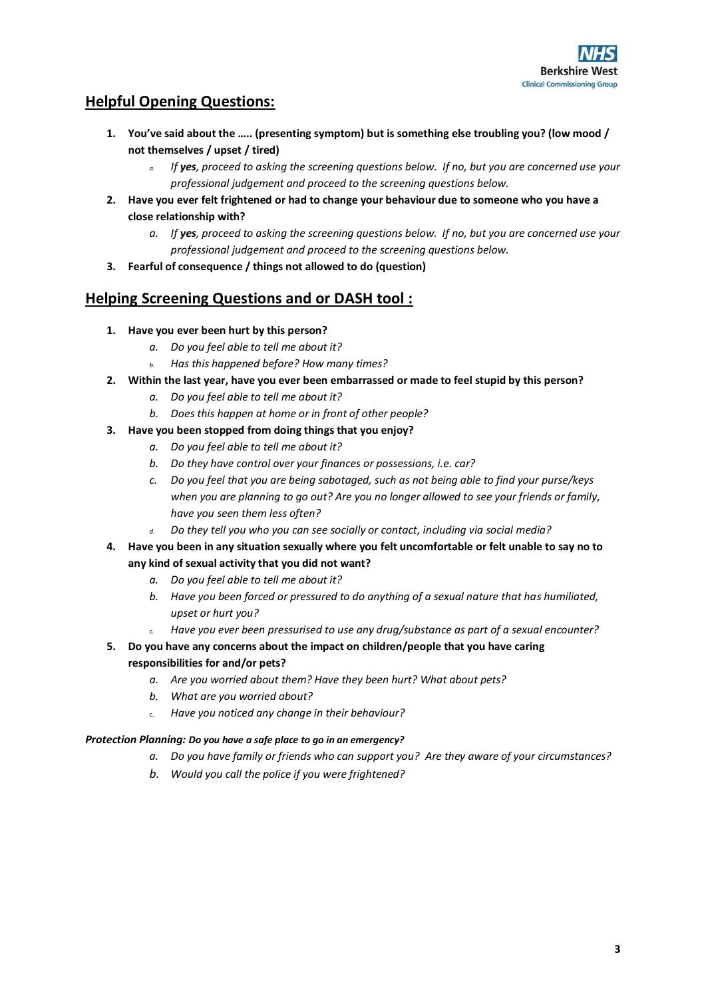# **Helpful Opening Questions:**

- **1. You've said about the ….. (presenting symptom) but is something else troubling you? (low mood / not themselves / upset / tired)**
	- *a. If yes, proceed to asking the screening questions below. If no, but you are concerned use your professional judgement and proceed to the screening questions below.*
- **2. Have you ever felt frightened or had to change your behaviour due to someone who you have a close relationship with?**
	- *a. If yes, proceed to asking the screening questions below. If no, but you are concerned use your professional judgement and proceed to the screening questions below.*
- **3. Fearful of consequence / things not allowed to do (question)**

## **Helping Screening Questions and or DASH tool :**

- **1. Have you ever been hurt by this person?**
	- *a. Do you feel able to tell me about it?*
	- *b. Has this happened before? How many times?*
- **2. Within the last year, have you ever been embarrassed or made to feel stupid by this person?** 
	- *a. Do you feel able to tell me about it?*
	- *b. Does this happen at home or in front of other people?*
- **3. Have you been stopped from doing things that you enjoy?** 
	- *a. Do you feel able to tell me about it?*
	- *b. Do they have control over your finances or possessions, i.e. car?*
	- *c. Do you feel that you are being sabotaged, such as not being able to find your purse/keys when you are planning to go out? Are you no longer allowed to see your friends or family, have you seen them less often?*
	- *d. Do they tell you who you can see socially or contact, including via social media?*
- **4. Have you been in any situation sexually where you felt uncomfortable or felt unable to say no to any kind of sexual activity that you did not want?** 
	- *a. Do you feel able to tell me about it?*
	- *b. Have you been forced or pressured to do anything of a sexual nature that has humiliated, upset or hurt you?*
	- *c. Have you ever been pressurised to use any drug/substance as part of a sexual encounter?*
- **5. Do you have any concerns about the impact on children/people that you have caring responsibilities for and/or pets?** 
	- *a. Are you worried about them? Have they been hurt? What about pets?*
	- *b. What are you worried about?*
	- c. *Have you noticed any change in their behaviour?*

### *Protection Planning: Do you have a safe place to go in an emergency?*

- *a. Do you have family or friends who can support you? Are they aware of your circumstances?*
- *b. Would you call the police if you were frightened?*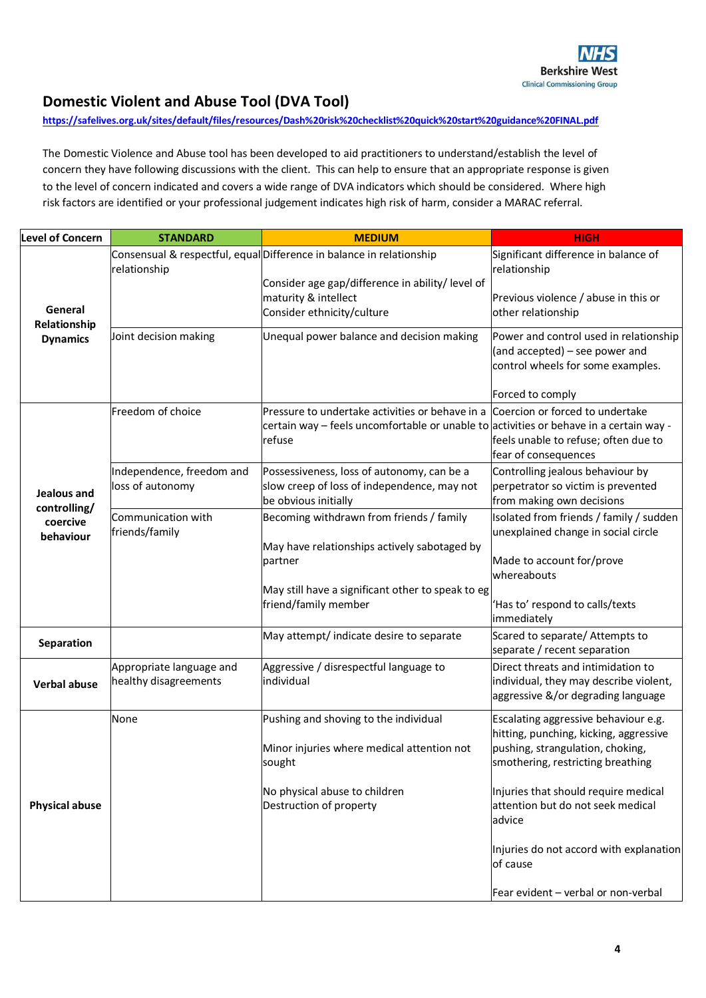# **Domestic Violent and Abuse Tool (DVA Tool)**

#### **<https://safelives.org.uk/sites/default/files/resources/Dash%20risk%20checklist%20quick%20start%20guidance%20FINAL.pdf>**

The Domestic Violence and Abuse tool has been developed to aid practitioners to understand/establish the level of concern they have following discussions with the client. This can help to ensure that an appropriate response is given to the level of concern indicated and covers a wide range of DVA indicators which should be considered. Where high risk factors are identified or your professional judgement indicates high risk of harm, consider a MARAC referral.

| <b>Level of Concern</b>                              | <b>STANDARD</b>                                   | <b>MEDIUM</b>                                                                                                                                                                       | <b>HIGH</b>                                                                                                        |
|------------------------------------------------------|---------------------------------------------------|-------------------------------------------------------------------------------------------------------------------------------------------------------------------------------------|--------------------------------------------------------------------------------------------------------------------|
| General<br>Relationship                              | relationship                                      | Consensual & respectful, equal Difference in balance in relationship                                                                                                                | Significant difference in balance of<br>relationship                                                               |
|                                                      |                                                   | Consider age gap/difference in ability/ level of<br>maturity & intellect<br>Consider ethnicity/culture                                                                              | Previous violence / abuse in this or<br>other relationship                                                         |
| <b>Dynamics</b>                                      | Joint decision making                             | Unequal power balance and decision making                                                                                                                                           | Power and control used in relationship<br>(and accepted) - see power and<br>control wheels for some examples.      |
|                                                      |                                                   |                                                                                                                                                                                     | Forced to comply                                                                                                   |
|                                                      | Freedom of choice                                 | Pressure to undertake activities or behave in a Coercion or forced to undertake<br>certain way – feels uncomfortable or unable to activities or behave in a certain way -<br>refuse | feels unable to refuse; often due to<br>fear of consequences                                                       |
| Jealous and<br>controlling/<br>coercive<br>behaviour | Independence, freedom and<br>loss of autonomy     | Possessiveness, loss of autonomy, can be a<br>slow creep of loss of independence, may not<br>be obvious initially                                                                   | Controlling jealous behaviour by<br>perpetrator so victim is prevented<br>from making own decisions                |
|                                                      | Communication with<br>friends/family              | Becoming withdrawn from friends / family                                                                                                                                            | Isolated from friends / family / sudden<br>unexplained change in social circle                                     |
|                                                      |                                                   | May have relationships actively sabotaged by<br>partner                                                                                                                             | Made to account for/prove<br>whereabouts                                                                           |
|                                                      |                                                   | May still have a significant other to speak to eg<br>friend/family member                                                                                                           | 'Has to' respond to calls/texts<br>immediately                                                                     |
| Separation                                           |                                                   | May attempt/ indicate desire to separate                                                                                                                                            | Scared to separate/ Attempts to<br>separate / recent separation                                                    |
| <b>Verbal abuse</b>                                  | Appropriate language and<br>healthy disagreements | Aggressive / disrespectful language to<br>lindividual                                                                                                                               | Direct threats and intimidation to<br>individual, they may describe violent,<br>aggressive &/or degrading language |
|                                                      | None                                              | Pushing and shoving to the individual                                                                                                                                               | Escalating aggressive behaviour e.g.<br>hitting, punching, kicking, aggressive                                     |
|                                                      |                                                   | Minor injuries where medical attention not<br>sought                                                                                                                                | pushing, strangulation, choking,<br>smothering, restricting breathing                                              |
| <b>Physical abuse</b>                                |                                                   | No physical abuse to children<br>Destruction of property                                                                                                                            | Injuries that should require medical<br>attention but do not seek medical<br>advice                                |
|                                                      |                                                   |                                                                                                                                                                                     | Injuries do not accord with explanation<br>of cause                                                                |
|                                                      |                                                   |                                                                                                                                                                                     | Fear evident - verbal or non-verbal                                                                                |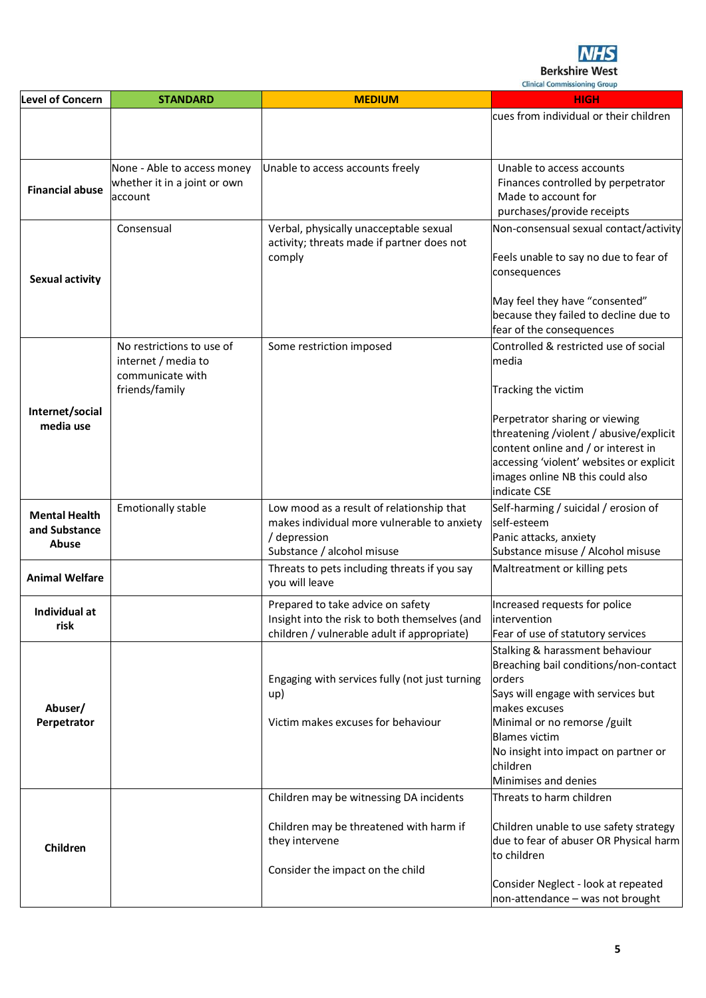

**Clinical Commissioning Group** 

|                              |                              |                                                | <b>Clinical Commissioning Group</b>                                              |
|------------------------------|------------------------------|------------------------------------------------|----------------------------------------------------------------------------------|
| <b>Level of Concern</b>      | <b>STANDARD</b>              | <b>MEDIUM</b>                                  | <b>HIGH</b>                                                                      |
|                              |                              |                                                | cues from individual or their children                                           |
|                              |                              |                                                |                                                                                  |
|                              |                              |                                                |                                                                                  |
|                              | None - Able to access money  | Unable to access accounts freely               | Unable to access accounts                                                        |
|                              | whether it in a joint or own |                                                | Finances controlled by perpetrator                                               |
| <b>Financial abuse</b>       | account                      |                                                | Made to account for                                                              |
|                              |                              |                                                | purchases/provide receipts                                                       |
|                              | Consensual                   | Verbal, physically unacceptable sexual         | Non-consensual sexual contact/activity                                           |
|                              |                              | activity; threats made if partner does not     |                                                                                  |
|                              |                              | comply                                         | Feels unable to say no due to fear of                                            |
| <b>Sexual activity</b>       |                              |                                                | consequences                                                                     |
|                              |                              |                                                |                                                                                  |
|                              |                              |                                                | May feel they have "consented"                                                   |
|                              |                              |                                                | because they failed to decline due to<br>fear of the consequences                |
|                              | No restrictions to use of    |                                                | Controlled & restricted use of social                                            |
|                              | internet / media to          | Some restriction imposed                       | media                                                                            |
|                              | communicate with             |                                                |                                                                                  |
|                              | friends/family               |                                                | Tracking the victim                                                              |
|                              |                              |                                                |                                                                                  |
| Internet/social<br>media use |                              |                                                | Perpetrator sharing or viewing                                                   |
|                              |                              |                                                | threatening /violent / abusive/explicit                                          |
|                              |                              |                                                | content online and / or interest in                                              |
|                              |                              |                                                | accessing 'violent' websites or explicit                                         |
|                              |                              |                                                | images online NB this could also                                                 |
|                              |                              |                                                | indicate CSE                                                                     |
| <b>Mental Health</b>         | <b>Emotionally stable</b>    | Low mood as a result of relationship that      | Self-harming / suicidal / erosion of                                             |
| and Substance                |                              | makes individual more vulnerable to anxiety    | self-esteem                                                                      |
| Abuse                        |                              | / depression<br>Substance / alcohol misuse     | Panic attacks, anxiety<br>Substance misuse / Alcohol misuse                      |
|                              |                              | Threats to pets including threats if you say   | Maltreatment or killing pets                                                     |
| <b>Animal Welfare</b>        |                              | you will leave                                 |                                                                                  |
|                              |                              |                                                |                                                                                  |
| Individual at                |                              | Prepared to take advice on safety              | Increased requests for police                                                    |
| risk                         |                              | Insight into the risk to both themselves (and  | intervention                                                                     |
|                              |                              | children / vulnerable adult if appropriate)    | Fear of use of statutory services                                                |
|                              |                              |                                                | Stalking & harassment behaviour<br>Breaching bail conditions/non-contact         |
|                              |                              | Engaging with services fully (not just turning | orders                                                                           |
|                              |                              | up)                                            | Says will engage with services but                                               |
| Abuser/                      |                              |                                                | makes excuses                                                                    |
| Perpetrator                  |                              | Victim makes excuses for behaviour             | Minimal or no remorse /guilt                                                     |
|                              |                              |                                                | <b>Blames victim</b>                                                             |
|                              |                              |                                                | No insight into impact on partner or                                             |
|                              |                              |                                                | children                                                                         |
|                              |                              |                                                | Minimises and denies                                                             |
|                              |                              | Children may be witnessing DA incidents        | Threats to harm children                                                         |
|                              |                              |                                                |                                                                                  |
|                              |                              | Children may be threatened with harm if        | Children unable to use safety strategy<br>due to fear of abuser OR Physical harm |
| Children                     |                              | they intervene                                 | to children                                                                      |
|                              |                              | Consider the impact on the child               |                                                                                  |
|                              |                              |                                                | Consider Neglect - look at repeated                                              |
|                              |                              |                                                | non-attendance - was not brought                                                 |